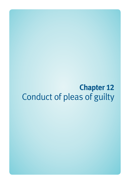# **Chapter 12**  Conduct of pleas of guilty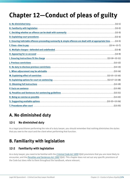## **Chapter 12—Conduct of pleas of guilty**

| E. Ensuring indictable offences proceeding summarily & simple offences are dealt with at appropriate time(12-5) |
|-----------------------------------------------------------------------------------------------------------------|
|                                                                                                                 |
|                                                                                                                 |
|                                                                                                                 |
|                                                                                                                 |
|                                                                                                                 |
|                                                                                                                 |
|                                                                                                                 |
|                                                                                                                 |
|                                                                                                                 |
|                                                                                                                 |
|                                                                                                                 |
|                                                                                                                 |
|                                                                                                                 |
|                                                                                                                 |
|                                                                                                                 |

### **A. No diminished duty**

#### **12-1 No diminished duty**

As a legal practitioner performing the role of a duty lawyer, you should remember that nothing diminishes the duties that you owe to the court and the client when performing that function.

### **B. Familiarity with legislation**

#### **12-2 Familiarity with legislation**

As a duty lawyer, you need to be familiar with the *[Criminal Code Act 1899](http://www.legislation.qld.gov.au/LEGISLTN/CURRENT/C/CriminCode.pdf)* (Qld) provisions that you are more likely to encounter, and the *[Penalties and Sentences Act 1992](http://www.legislation.qld.gov.au/LEGISLTN/CURRENT/P/PenaltASenA92.pdf)* (Qld). This chapter does not set out any specific provisions of the Code but does refer to them throughout the handbook, where relevant.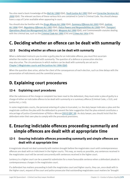You also need a basic knowledge of the *[Bail Act 1980](http://www.legislation.qld.gov.au/LEGISLTN/CURRENT/B/BailA80.pdf)* (Qld), *[Youth Justice Act 1992](http://www.legislation.qld.gov.au/LEGISLTN/CURRENT/Y/YouthJustA92.pdf)* (Qld) and *[Corrective Services Act](http://www.legislation.qld.gov.au/LEGISLTN/ACTS/2000/00AC063.pdf)  [2000](http://www.legislation.qld.gov.au/LEGISLTN/ACTS/2000/00AC063.pdf)* (Qld). The relevant sections of these various Acts are contained in Carter's Criminal Code. You should always have a copy of Carter available when appearing in court.

You should also be familiar with the *[Drugs Misuse Act 1986](http://www.legislation.qld.gov.au/LEGISLTN/CURRENT/D/DrugsMisuseA86.pdf)* (Qld), *[Summary Offences Act 2005](http://www.legislation.qld.gov.au/LEGISLTN/CURRENT/S/SumOffA05.pdf)* (Qld), *[Justices](http://www.legislation.qld.gov.au/LEGISLTN/CURRENT/J/JusticeA1886.pdf)  [Act 1886](http://www.legislation.qld.gov.au/LEGISLTN/CURRENT/J/JusticeA1886.pdf)* (Qld), *[Regulatory Offences Act 1985](http://www.legislation.qld.gov.au/LEGISLTN/CURRENT/R/RegulatOffA85.pdf)* (Qld), *[Police Powers and Responsibilities Act 2000](http://www.legislation.qld.gov.au/LEGISLTN/CURRENT/P/PolicePowResA00.pdf)* (Qld), *[Transport](http://www.legislation.qld.gov.au/LEGISLTN/CURRENT/T/TrantOpRUA95.pdf)  [Operations \(Road Use Management\) Act 1995](http://www.legislation.qld.gov.au/LEGISLTN/CURRENT/T/TrantOpRUA95.pdf)* (Qld), *[Weapons Act 1990](http://www.legislation.qld.gov.au/LEGISLTN/CURRENT/W/WeaponsA90.pdf)* (Qld), and Commonwealth statutes dealing with the criminal law, such as the *[Criminal Code Act 1995](http://www.comlaw.gov.au/Current/C2012C00547)* (Cth) and *[Crimes Act 1914](http://www.comlaw.gov.au/Current/C2012C00416)* (Cth).

### **C. Deciding whether an offence can be dealt with summarily**

#### **12-3 Deciding whether an offence can be dealt with summarily**

When a defendant instructs you to enter a guilty plea for an indictable offence, you must first ascertain whether the matter can be dealt with summarily. The question of a defence or prosecution election may also arise. The circumstances in which matters can be dealt with summarily are set out in Chapter 3-Magistrates courts and the Justices Act 1886 (Qld).

When the question does arise, advise the client of the consequences of each election, such as time delays with the presentation of indictments and the committal process.

### **D. Explaining court procedures**

#### **12-4 Explaining court procedures**

After the substance of the charge or complaint has been read to the defendant, they must enter a plea of guilty to a charge of either an indictable offence to be dealt with summarily or a summary offence (Criminal Code, s 552I, and Justice Act, s 145).

In some magistrates courts, the personal entering of a plea is truncated, i.e. the duty lawyer indicates a plea and the magistrate confirms the plea with the defendant to prevent the later suggestion that the plea entered constitutes a miscarriage of justice (*Commissioner of Police v Warcon* [\[2011\] QDC 28](http://archive.sclqld.org.au/qjudgment/2011/QDC11-028.pdf)). As duty lawyer, you should insist that the defendant enter their own plea to comply with the procedural provisions.

### **E. Ensuring indictable offences proceeding summarily and simple offences are dealt with at appropriate time**

#### **12-5 Ensuring indictable offences proceeding summarily and simple offences are dealt with at appropriate time**

A magistrate should not deal summarily with matters brought before the magistrates court until contemporaneous offences are dealt with on indictment in the higher courts. This way, as nearly as possible, any sentences received in the magistrates court will be served concurrently with sentences received in the higher court.

Leniency in a higher court can be a powerful submission for a more favourable sentence when a defendant pleads to contemporaneous charges in the magistrates court.

If a defendant has matters proceeding in both the magistrates court and higher courts, they can, once dealt with in the higher court, request of the court and police prosecutor that outstanding magistrates court matters be 'brought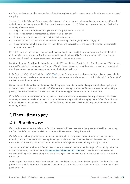on' for an earlier date, so they may be dealt with either by pleading guilty or requesting a date for hearing on a plea of not guilty.

Section 651 of the Criminal Code allows a district court or Supreme Court to hear and decide a summary offence if an indictment has been presented in that court. However, under s 651(2), '[t]he court must not hear and decide the summary offence unless—

- a. the Idistrict court or Supreme Courtl considers it appropriate to do so: and
- b. the accused person is represented by a legal practitioner; and
- c. the Crown and the accused consent to the court so doing; and
- d. the accused person states his or her intention of entering a plea of guilty to the charge; and
- e. the complaint or bench charge sheet for the offence, or a copy, is before the court, whether or not returnable before another court'.

If the defendant wishes to have a summary offence dealt with under s 651, they must apply in writing to the clerk of the magistrates court, declaring that they intend to plead guilty (s 652). Once the summary offence has been transmitted, they will no longer be required to appear in the magistrates court.

Both the 'Supreme Court Practice Direction No. 5 of 2002' and 'District Court Practice Direction No. 3 of 2002' set out the specific details. In particular, the Director of Public Prosecutions must provide written consent and be satisfied that the summary charge has some connection to the indictable charge.

In *R v Tootoo* (2000) 115 A Crim R 90; [\[2000\] QCA 312,](http://archive.sclqld.org.au/qjudgment/2000/QCA00-312.pdf) the Court of Appeal confirmed that the only process available for a superior court to take summary matters into account on sentence is under s 651 of the Criminal Code (or s 189 of the Penalties and Sentences Act).

Under s 189 of the Penalties and Sentences Act, in a proper case, if a defendant is represented, pleads guilty and asks the court to take into account a list of offences, the court may take those offences into account in imposing a penalty. The prosecution must consent to those offences being proceeded with under this section.

If the defendant wants unrelated summary matters taken into account on sentence in a superior court, and those summary matters are unrelated to matters on an indictment, they may be able to apply to the Office of the Director of Public Prosecutions to have a 's 189 of the *Penalties and Sentences Act* schedule' prepared that contains those summary offences.

### **F. Fines—time to pay**

#### **12-6 Fines—time to pay**

If a court imposes a fine, the defendant (and duty lawyer) will have to consider the question of seeking time to pay the fine. The defendant's personal circumstances will be relevant in fixing this period.

If a defendant is already serving or about to commence a jail term (e.g. on a contemporaneous plea), you must carefully consider the question of seeking time to pay. Under s 182A of the Penalties and Sentences Act, a court can order a person to serve up to 14 days' imprisonment for non-payment of each penalty unit or part thereof.

Section 182A of the Penalties and Sentences Act permits the court to determine the length of custody by reference to the 'cut-out rate', as defined in the *[State Penalties Enforcement Act 1999](http://www.legislation.qld.gov.au/LEGISLTN/CURRENT/S/StatePenEnfA99.pdf)* (Qld). The offender must serve this term cumulatively with any term they are already serving or have been sentenced to serve, unless the court orders otherwise.

You can apply for a default period to be served concurrently but the court is unlikely to grant it. The defendant may prefer to serve a default period at the end of their sentence rather than be released and possibly re-arrested for not paying the fine.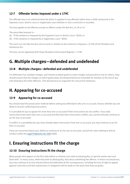#### **12-7 Offender levies imposed under s 179C**

The offender levy is an administrative fee which is applied to any offender (other than a child) sentenced in the Supreme Court, district court or magistrates court whether or not a conviction is recorded.

The levy applies to all offences except an offence under the Bail Act, ss 29 or 33.

The prescribed amount is—

- (a) if the sentence is imposed by the Supreme Court or district court—\$300; or
- (b) if the sentence is imposed by a magistrates court—\$100.

The court can not take the levy into account in relation to the sentence it imposes: s 9 (7A) of the Penalties and Sentences Act.

The levy can be registered with State Penalties Enforcement Register: s 179E.

### **G. Multiple charges—defended and undefended**

#### **12-8 Multiple charges—defended and undefended**

If a defendant has multiple charges, and intends to plead guilty to some charges and proceed to trial on others, they should ensure that the charges on which guilty pleas are being entered are remanded for mention at the end of any trial relating to the other offences. This will preserve an argument for concurrent sentences.

### **H. Appearing for co-accused**

#### **12-9 Appearing for co-accused**

You should read the prosecution material before seeing any defendants who are co-accused. Assess whether you are likely to receive conflicting instructions.

It is possible for you to appear for more than one co-accused if their instructions do not conflict. If you take instructions from more than one co-accused and find that their instructions conflict, you cannot ethically continue to act for any co-accused.

If conflict is a possibility but you have already taken instructions from one co-accused, you may continue to act for that co-accused.

If you are concerned about your ability to continue to act for any co-accused, consult the rules relating to ethical conduct under the *[Legal Profession Act 2007](http://www.legislation.qld.gov.au/LEGISLTN/CURRENT/L/LegalProA07.pdf)* (Qld).

### **I. Ensuring instructions fit the charge**

#### **12-10 Ensuring instructions fit the charge**

Many people who appear on the first date before a criminal court wish to plead guilty, to 'get the matter over and done with'. In many cases, while they wish to plead guilty, they deny committing the offence. In these circumstances, you may continue to act but should advise the defendant of the consequences, including the loss of right to appeal against conviction and that submissions in mitigation will be made on the basis that they are guilty.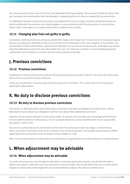You should receive written instructions from the defendant before proceeding. These should include the advice that you have given and confirmation that the defendant is pleading guilty to the facts as alleged by the prosecution.

If a defendant disputes certain factual issues or you believe that a lesser charge should be substituted based on what the defendant has advised, you should engage in a case conference with the prosecution to resolve those issues. Note: If you agree on a charge substitution, an adjournment is likely.

#### **12-11 Changing plea from not guilty to guilty**

Sometimes a defendant who has previously denied the charges will change their instructions from not guilty to guilty. You are not required to withdraw or refuse to act further for the defendant in this case. However, to be prudent, you should obtain written authorisation, signed by the defendant, for you to enter the guilty plea. Preferably, you should allow the defendant to enter their own plea before the court. You may then continue to act by making appropriate submissions on the evidence as may be relevant to the question of penalty.

### **J. Previous convictions**

#### **12-12 Previous convictions**

A defendant's criminal history will usually be disclosed among the prosecution material. You must take instructions about the accuracy of the history disclosed.

If they are not admitted, the prosecution must then prove the convictions. This could result in the prosecution applying for adjournment.

### **K. No duty to disclose previous convictions**

#### **12-13 No duty to disclose previous convictions**

Previously, if a defendant told a duty lawyer about convictions that were not alleged by the prosecutor, neither defendant nor duty lawyer was obligated to tell the court about these additional convictions.

However, the Australian Solicitors Conduct Rules state: 'A solicitor must not take unfair advantage of the obvious error of another solicitor or other person, if to do so would obtain for a client a benefit which has no supportable foundation in law or fact'.

You must be careful that you do not fall short of this rule if the prosecution does not allege a criminal history where one exists if the failure amounts to an *obvious error* by the prosecution. An example would where the officer appearing for the prosecution does not locate a history hidden on a file.

Note: Contrast this situation to where there the parties have an agreement not to admit evidence of criminal history.

### **L. When adjournment may be advisable**

#### **12-14 When adjournment may be advisable**

In certain circumstances, even though the defendant is entering a guilty plea of guilty, you should still seek to adjourn the matter to when the court has more time to hear the matter. You should advise the court if a plea will be lengthy or complicated so the magistrate can decide whether to adjourn the matter to another court.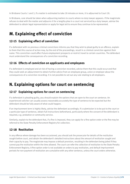In Brisbane Courts 1 and 3, if a matter is estimated to take 20 minutes or more, it is adjourned to Court 20.

In Brisbane, care should be taken when adjourning matters to courts where no duty lawyer appears. If the magistrate refuses to deal with the matter and adjourns it for a lengthy plea in a court not serviced by a duty lawyer, advise the defendant to obtain legal representation or apply for legal aid to ensure they continue to be represented.

### **M. Explaining effect of conviction**

#### **12-15 Explaining effect of conviction**

If a defendant with no previous criminal convictions informs you that they wish to plead guilty to an offence, explain to them that this course of action may, by the end of the proceedings, result in a criminal conviction against their name. This conviction could affect future employment prospects or restrict travel to certain countries. The defendant must understand the consequences of a conviction recording.

#### **12-16 Effects of conviction on applicants and employees**

If a defendant is employed and at risk of having a conviction recorded, advise them that this could occur and that they could seek an adjournment to obtain further advice from an employee group, union or employer about the consequences of a conviction recording. It is not possible to set out any rule relating to all employers.

### **N. Explaining options for court on sentencing**

#### **12-17 Explaining options for court on sentencing**

If a defendant is pleading guilty, you should explain the options that are open to the court on sentence. An experienced solicitor can usually assess reasonably accurately the type of sentence to be expected but the defendant should be fully aware of what could happen.

If an imprisonment term is highly likely, advise the defendant accordingly. If a submission is to be put to the court or a particular type of sentence, obtain full instructions beforehand, particularly where the consent of the defendant is required, e.g. probation or community service.

Similarly, explain to the defendant that, if a fine is imposed, they can apply for a fine option order or the fine may be referred to the State Penalty Enforcement Registry for collection.

#### **12-18 Restitution**

In any offence where damage has been occasioned, you should ask the prosecutor for details of the restitution sought before court, and obtain the defendant's detailed instructions about the amount of restitution sought and their capacity to pay. The magistrate may impose a default provision, resulting in the defendant being jailed if they cannot pay the restitution within the time allowed. The court can refer the collection of restitution to the State Penalty Enforcement Registry. A fine option order is not available on orders to pay restitution, and default imprisonment periods for non-payment of restitution are cumulative with any other sentence, unless the court orders otherwise.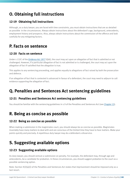### **O. Obtaining full instructions**

#### **12-19 Obtaining full instructions**

Although, as a duty lawyer, you are faced with time constraints, you must obtain instructions that are as detailed as possible in the circumstances. Always obtain instructions about the defendant's age, background, antecedents, employment history and prospects. Also, always obtain instructions about the commission of the offence and look carefully for any mitigating factors.

### **P. Facts on sentence**

#### **12-20 Facts on sentence**

Under s 132C of the *[Evidence Act 1977](http://www.legislation.qld.gov.au/legisltn/current/e/evidcea77.pdf)* (Qld), the court may act upon an allegation of fact that is admitted or not challenged. However, if a particular allegation of fact is not admitted or is challenged, the court may act upon the allegation of fact if satisfied that the allegation is true.

This applies to any sentencing proceeding, and applies equally to allegations of fact raised by both the prosecution and defence.

If an allegation of fact that is contested is advanced in favour of a defendant, the court may need to adjourn to call evidence supporting the allegation of fact.

### **Q. Penalties and Sentences Act sentencing guidelines**

#### **12-21 Penalties and Sentences Act sentencing guidelines**

You should be familiar with the sentencing guidelines in s 9 of the Penalties and Sentences Act (see Chapter 15).

### **R. Being as concise as possible**

#### **12-22 Being as concise as possible**

When making a submission in the magistrates court, you should always be as concise as possible. Magistrates invariably have many matters to deal with and are conscious of the limited time they have to hear matters. Make your points quickly and precisely. A repetitious duty lawyer may do a defendant a disservice.

### **S. Suggesting available options**

#### **12-23 Suggesting available options**

As duty lawyer, you should venture a submission on penalty. For example, the defendant may, through age and antecedents, be a candidate for probation. In these circumstances, you should suggest probation to the court as a possible sentencing option.

Note: Section 9(2)(a)(i) of the Penalties and Sentences Act states that imprisonment should be imposed only as a last resort.